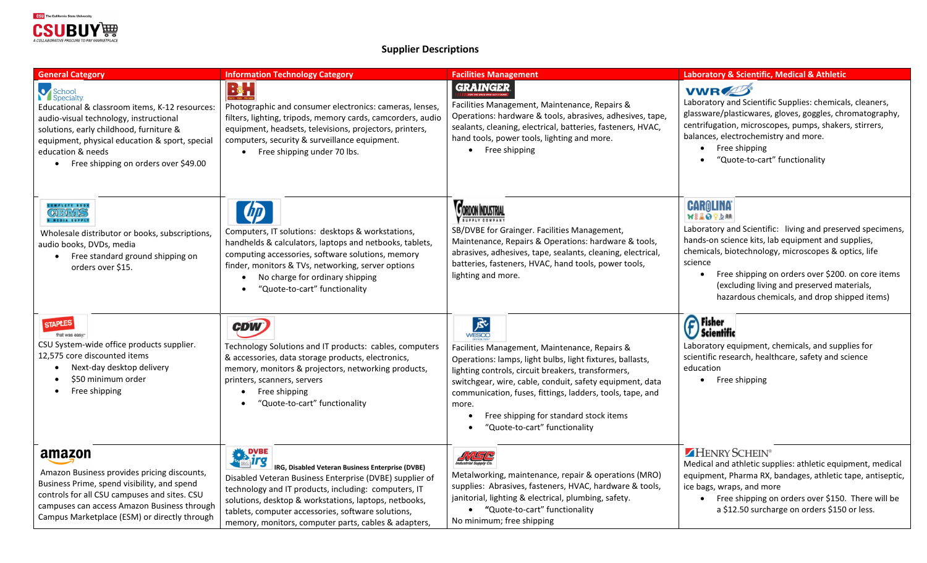

**Supplier Descriptions** 

| <b>General Category</b>                                                                                                                                                                                                                                                     | <b>Information Technology Category</b>                                                                                                                                                                                                                                                                                                                                  | <b>Facilities Management</b>                                                                                                                                                                                                                                                                                                                                                                | Laboratory & Scientific, Medical & Athletic                                                                                                                                                                                                                                                                                                                                       |
|-----------------------------------------------------------------------------------------------------------------------------------------------------------------------------------------------------------------------------------------------------------------------------|-------------------------------------------------------------------------------------------------------------------------------------------------------------------------------------------------------------------------------------------------------------------------------------------------------------------------------------------------------------------------|---------------------------------------------------------------------------------------------------------------------------------------------------------------------------------------------------------------------------------------------------------------------------------------------------------------------------------------------------------------------------------------------|-----------------------------------------------------------------------------------------------------------------------------------------------------------------------------------------------------------------------------------------------------------------------------------------------------------------------------------------------------------------------------------|
| School<br>Specialty<br>Educational & classroom items, K-12 resources:<br>audio-visual technology, instructional<br>solutions, early childhood, furniture &<br>equipment, physical education & sport, special<br>education & needs<br>• Free shipping on orders over \$49.00 | $\frac{1}{2}$<br>Photographic and consumer electronics: cameras, lenses,<br>filters, lighting, tripods, memory cards, camcorders, audio<br>equipment, headsets, televisions, projectors, printers,<br>computers, security & surveillance equipment.<br>Free shipping under 70 lbs.<br>$\bullet$                                                                         | <b>GRAINGER</b><br>Facilities Management, Maintenance, Repairs &<br>Operations: hardware & tools, abrasives, adhesives, tape,<br>sealants, cleaning, electrical, batteries, fasteners, HVAC,<br>hand tools, power tools, lighting and more.<br>• Free shipping                                                                                                                              | <b>VWRZZ</b><br>Laboratory and Scientific Supplies: chemicals, cleaners,<br>glassware/plasticwares, gloves, goggles, chromatography,<br>centrifugation, microscopes, pumps, shakers, stirrers,<br>balances, electrochemistry and more.<br>Free shipping<br>"Quote-to-cart" functionality                                                                                          |
| COMPLETE BOOK<br>CBWS<br>MEDIA SUPPLY<br>Wholesale distributor or books, subscriptions,<br>audio books, DVDs, media<br>Free standard ground shipping on<br>$\bullet$<br>orders over \$15.                                                                                   | $\overline{w}$<br>Computers, IT solutions: desktops & workstations,<br>handhelds & calculators, laptops and netbooks, tablets,<br>computing accessories, software solutions, memory<br>finder, monitors & TVs, networking, server options<br>No charge for ordinary shipping<br>"Quote-to-cart" functionality                                                           | <b>CORDON INDUSTRIAL</b><br><b>SUPPLY COMPANY</b><br>SB/DVBE for Grainger. Facilities Management,<br>Maintenance, Repairs & Operations: hardware & tools,<br>abrasives, adhesives, tape, sealants, cleaning, electrical,<br>batteries, fasteners, HVAC, hand tools, power tools,<br>lighting and more.                                                                                      | <b>CAROLINA</b><br>WEADYAM<br>Laboratory and Scientific: living and preserved specimens,<br>hands-on science kits, lab equipment and supplies,<br>chemicals, biotechnology, microscopes & optics, life<br>science<br>Free shipping on orders over \$200. on core items<br>$\bullet$<br>(excluding living and preserved materials,<br>hazardous chemicals, and drop shipped items) |
| <b>STAPLES</b><br>that was easy<br>CSU System-wide office products supplier.<br>12,575 core discounted items<br>Next-day desktop delivery<br>$\bullet$<br>\$50 minimum order<br>Free shipping<br>$\bullet$                                                                  | <b>CDW</b><br>Technology Solutions and IT products: cables, computers<br>& accessories, data storage products, electronics,<br>memory, monitors & projectors, networking products,<br>printers, scanners, servers<br>Free shipping<br>$\bullet$<br>"Quote-to-cart" functionality                                                                                        | 凤<br>WESCO<br>Facilities Management, Maintenance, Repairs &<br>Operations: lamps, light bulbs, light fixtures, ballasts,<br>lighting controls, circuit breakers, transformers,<br>switchgear, wire, cable, conduit, safety equipment, data<br>communication, fuses, fittings, ladders, tools, tape, and<br>more.<br>Free shipping for standard stock items<br>"Quote-to-cart" functionality | <b>P</b> Fisher<br>J Scientific<br>Laboratory equipment, chemicals, and supplies for<br>scientific research, healthcare, safety and science<br>education<br>Free shipping<br>$\bullet$                                                                                                                                                                                            |
| amazon<br>Amazon Business provides pricing discounts,<br>Business Prime, spend visibility, and spend<br>controls for all CSU campuses and sites. CSU<br>campuses can access Amazon Business through<br>Campus Marketplace (ESM) or directly through                         | <b>ENDING IT'S</b><br><b>IRG, Disabled Veteran Business Enterprise (DVBE)</b><br>Disabled Veteran Business Enterprise (DVBE) supplier of<br>technology and IT products, including: computers, IT<br>solutions, desktop & workstations, laptops, netbooks,<br>tablets, computer accessories, software solutions,<br>memory, monitors, computer parts, cables & adapters, | <b>ANSE</b><br>Metalworking, maintenance, repair & operations (MRO)<br>supplies: Abrasives, fasteners, HVAC, hardware & tools,<br>janitorial, lighting & electrical, plumbing, safety.<br>"Quote-to-cart" functionality<br>No minimum; free shipping                                                                                                                                        | HENRY SCHEIN®<br>Medical and athletic supplies: athletic equipment, medical<br>equipment, Pharma RX, bandages, athletic tape, antiseptic,<br>ice bags, wraps, and more<br>Free shipping on orders over \$150. There will be<br>a \$12.50 surcharge on orders \$150 or less.                                                                                                       |